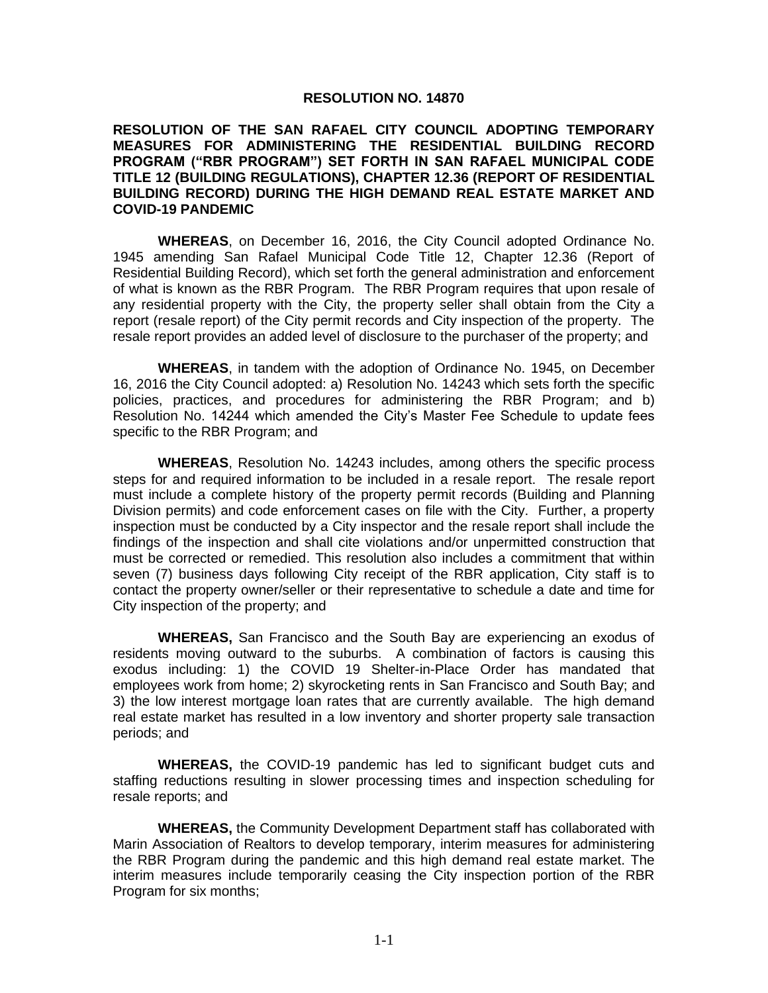## **RESOLUTION NO. 14870**

## **RESOLUTION OF THE SAN RAFAEL CITY COUNCIL ADOPTING TEMPORARY MEASURES FOR ADMINISTERING THE RESIDENTIAL BUILDING RECORD PROGRAM ("RBR PROGRAM") SET FORTH IN SAN RAFAEL MUNICIPAL CODE TITLE 12 (BUILDING REGULATIONS), CHAPTER 12.36 (REPORT OF RESIDENTIAL BUILDING RECORD) DURING THE HIGH DEMAND REAL ESTATE MARKET AND COVID-19 PANDEMIC**

**WHEREAS**, on December 16, 2016, the City Council adopted Ordinance No. 1945 amending San Rafael Municipal Code Title 12, Chapter 12.36 (Report of Residential Building Record), which set forth the general administration and enforcement of what is known as the RBR Program. The RBR Program requires that upon resale of any residential property with the City, the property seller shall obtain from the City a report (resale report) of the City permit records and City inspection of the property. The resale report provides an added level of disclosure to the purchaser of the property; and

**WHEREAS**, in tandem with the adoption of Ordinance No. 1945, on December 16, 2016 the City Council adopted: a) Resolution No. 14243 which sets forth the specific policies, practices, and procedures for administering the RBR Program; and b) Resolution No. 14244 which amended the City's Master Fee Schedule to update fees specific to the RBR Program; and

**WHEREAS**, Resolution No. 14243 includes, among others the specific process steps for and required information to be included in a resale report. The resale report must include a complete history of the property permit records (Building and Planning Division permits) and code enforcement cases on file with the City. Further, a property inspection must be conducted by a City inspector and the resale report shall include the findings of the inspection and shall cite violations and/or unpermitted construction that must be corrected or remedied. This resolution also includes a commitment that within seven (7) business days following City receipt of the RBR application, City staff is to contact the property owner/seller or their representative to schedule a date and time for City inspection of the property; and

**WHEREAS,** San Francisco and the South Bay are experiencing an exodus of residents moving outward to the suburbs. A combination of factors is causing this exodus including: 1) the COVID 19 Shelter-in-Place Order has mandated that employees work from home; 2) skyrocketing rents in San Francisco and South Bay; and 3) the low interest mortgage loan rates that are currently available. The high demand real estate market has resulted in a low inventory and shorter property sale transaction periods; and

**WHEREAS,** the COVID-19 pandemic has led to significant budget cuts and staffing reductions resulting in slower processing times and inspection scheduling for resale reports; and

**WHEREAS,** the Community Development Department staff has collaborated with Marin Association of Realtors to develop temporary, interim measures for administering the RBR Program during the pandemic and this high demand real estate market. The interim measures include temporarily ceasing the City inspection portion of the RBR Program for six months;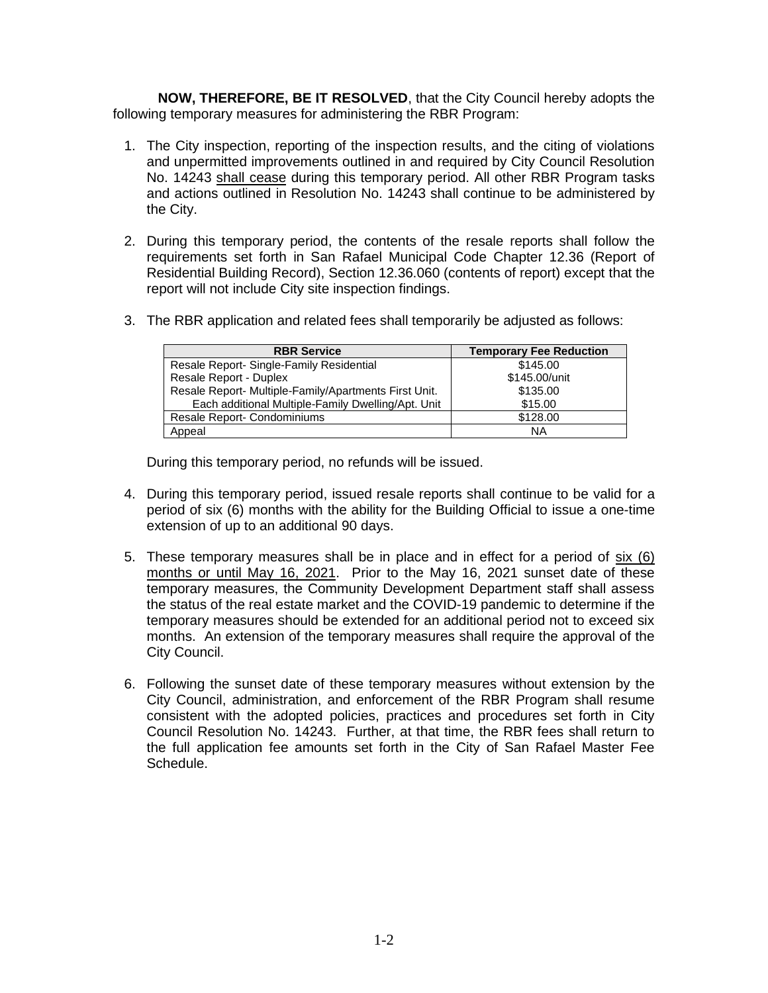**NOW, THEREFORE, BE IT RESOLVED**, that the City Council hereby adopts the following temporary measures for administering the RBR Program:

- 1. The City inspection, reporting of the inspection results, and the citing of violations and unpermitted improvements outlined in and required by City Council Resolution No. 14243 shall cease during this temporary period. All other RBR Program tasks and actions outlined in Resolution No. 14243 shall continue to be administered by the City.
- 2. During this temporary period, the contents of the resale reports shall follow the requirements set forth in San Rafael Municipal Code Chapter 12.36 (Report of Residential Building Record), Section 12.36.060 (contents of report) except that the report will not include City site inspection findings.
- 3. The RBR application and related fees shall temporarily be adjusted as follows:

| <b>RBR Service</b>                                    | <b>Temporary Fee Reduction</b> |
|-------------------------------------------------------|--------------------------------|
| Resale Report- Single-Family Residential              | \$145.00                       |
| Resale Report - Duplex                                | \$145.00/unit                  |
| Resale Report- Multiple-Family/Apartments First Unit. | \$135.00                       |
| Each additional Multiple-Family Dwelling/Apt. Unit    | \$15.00                        |
| Resale Report- Condominiums                           | \$128.00                       |
| Appeal                                                | ΝA                             |

During this temporary period, no refunds will be issued.

- 4. During this temporary period, issued resale reports shall continue to be valid for a period of six (6) months with the ability for the Building Official to issue a one-time extension of up to an additional 90 days.
- 5. These temporary measures shall be in place and in effect for a period of six (6) months or until May 16, 2021. Prior to the May 16, 2021 sunset date of these temporary measures, the Community Development Department staff shall assess the status of the real estate market and the COVID-19 pandemic to determine if the temporary measures should be extended for an additional period not to exceed six months. An extension of the temporary measures shall require the approval of the City Council.
- 6. Following the sunset date of these temporary measures without extension by the City Council, administration, and enforcement of the RBR Program shall resume consistent with the adopted policies, practices and procedures set forth in City Council Resolution No. 14243. Further, at that time, the RBR fees shall return to the full application fee amounts set forth in the City of San Rafael Master Fee Schedule.